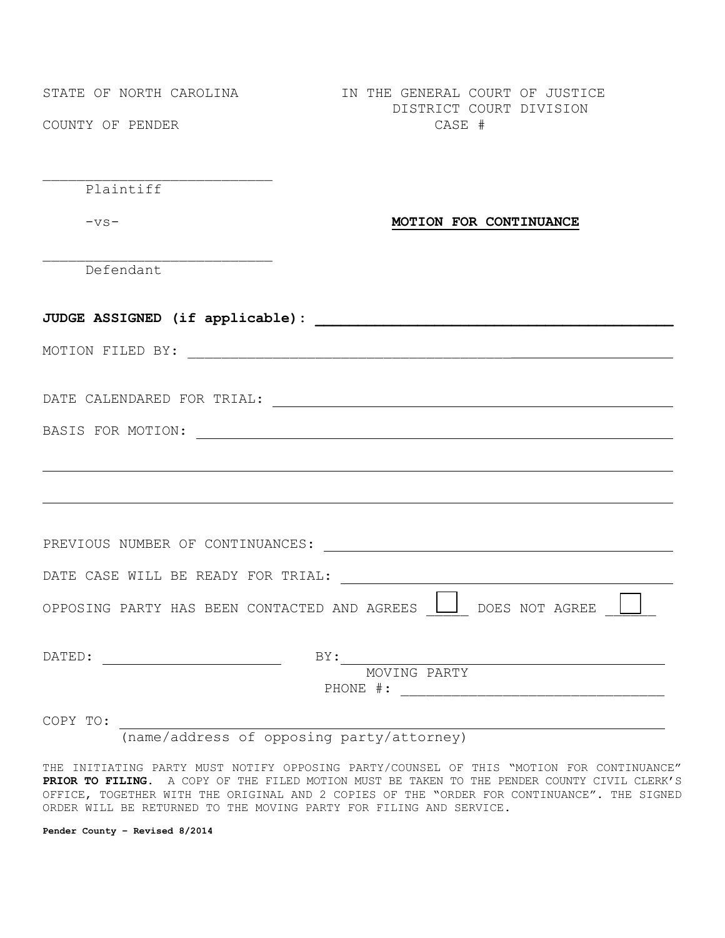\_\_\_\_\_\_\_\_\_\_\_\_\_\_\_\_\_\_\_\_\_\_\_\_\_\_\_

\_\_\_\_\_\_\_\_\_\_\_\_\_\_\_\_\_\_\_\_\_\_\_\_\_\_\_

STATE OF NORTH CAROLINA **IN THE GENERAL COURT OF JUSTICE**  DISTRICT COURT DIVISION COUNTY OF PENDER CASE #

Plaintiff

## -vs- **MOTION FOR CONTINUANCE**

Defendant

| OPPOSING PARTY HAS BEEN CONTACTED AND AGREES WOES NOT AGREE |
|-------------------------------------------------------------|
| BY:                                                         |
| MOVING PARTY                                                |
|                                                             |

(name/address of opposing party/attorney)

THE INITIATING PARTY MUST NOTIFY OPPOSING PARTY/COUNSEL OF THIS "MOTION FOR CONTINUANCE" **PRIOR TO FILING**. A COPY OF THE FILED MOTION MUST BE TAKEN TO THE PENDER COUNTY CIVIL CLERK'S OFFICE, TOGETHER WITH THE ORIGINAL AND 2 COPIES OF THE "ORDER FOR CONTINUANCE". THE SIGNED ORDER WILL BE RETURNED TO THE MOVING PARTY FOR FILING AND SERVICE.

**Pender County – Revised 8/2014**